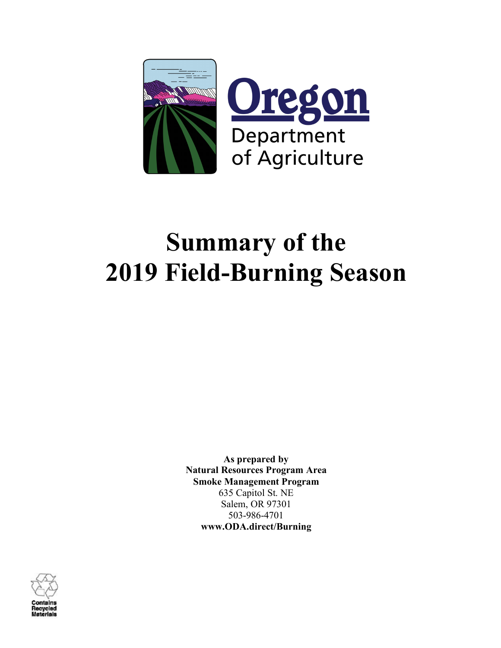

# **Summary of the 2019 Field-Burning Season**

**As prepared by Natural Resources Program Area Smoke Management Program** 635 Capitol St. NE Salem, OR 97301 503-986-4701 **www.ODA.direct/Burning**

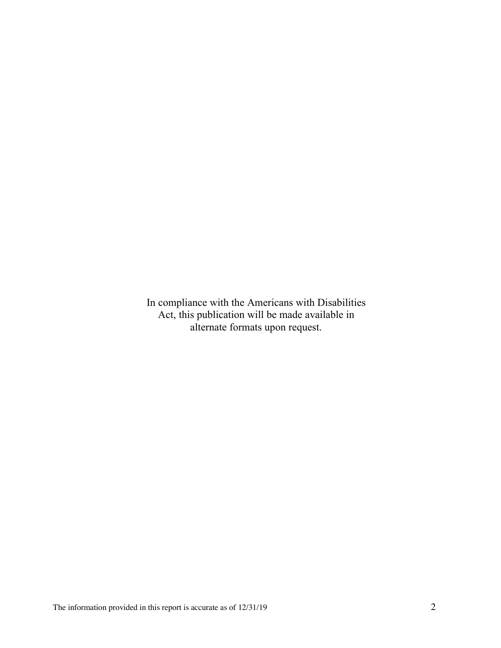In compliance with the Americans with Disabilities Act, this publication will be made available in alternate formats upon request.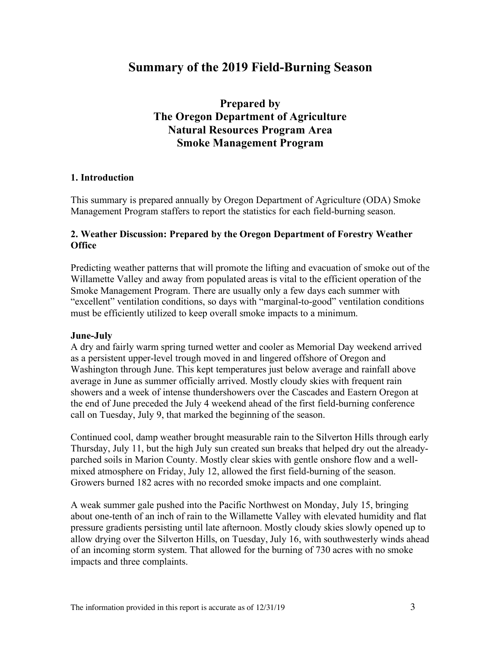# **Summary of the 2019 Field-Burning Season**

## **Prepared by The Oregon Department of Agriculture Natural Resources Program Area Smoke Management Program**

## **1. Introduction**

This summary is prepared annually by Oregon Department of Agriculture (ODA) Smoke Management Program staffers to report the statistics for each field-burning season.

#### **2. Weather Discussion: Prepared by the Oregon Department of Forestry Weather Office**

Predicting weather patterns that will promote the lifting and evacuation of smoke out of the Willamette Valley and away from populated areas is vital to the efficient operation of the Smoke Management Program. There are usually only a few days each summer with "excellent" ventilation conditions, so days with "marginal-to-good" ventilation conditions must be efficiently utilized to keep overall smoke impacts to a minimum.

#### **June-July**

A dry and fairly warm spring turned wetter and cooler as Memorial Day weekend arrived as a persistent upper-level trough moved in and lingered offshore of Oregon and Washington through June. This kept temperatures just below average and rainfall above average in June as summer officially arrived. Mostly cloudy skies with frequent rain showers and a week of intense thundershowers over the Cascades and Eastern Oregon at the end of June preceded the July 4 weekend ahead of the first field-burning conference call on Tuesday, July 9, that marked the beginning of the season.

Continued cool, damp weather brought measurable rain to the Silverton Hills through early Thursday, July 11, but the high July sun created sun breaks that helped dry out the alreadyparched soils in Marion County. Mostly clear skies with gentle onshore flow and a wellmixed atmosphere on Friday, July 12, allowed the first field-burning of the season. Growers burned 182 acres with no recorded smoke impacts and one complaint.

A weak summer gale pushed into the Pacific Northwest on Monday, July 15, bringing about one-tenth of an inch of rain to the Willamette Valley with elevated humidity and flat pressure gradients persisting until late afternoon. Mostly cloudy skies slowly opened up to allow drying over the Silverton Hills, on Tuesday, July 16, with southwesterly winds ahead of an incoming storm system. That allowed for the burning of 730 acres with no smoke impacts and three complaints.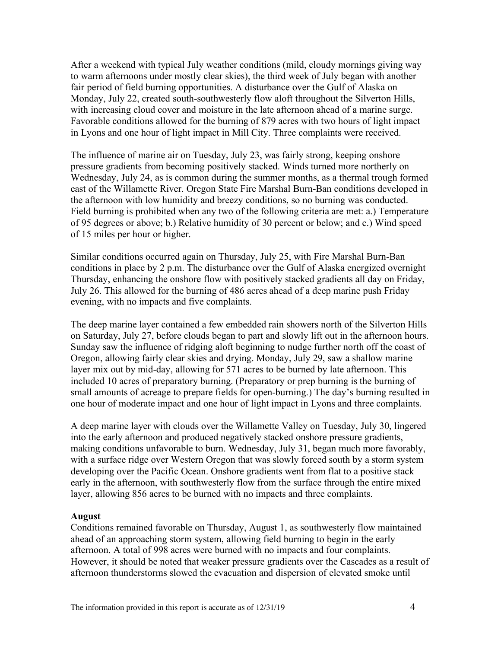After a weekend with typical July weather conditions (mild, cloudy mornings giving way to warm afternoons under mostly clear skies), the third week of July began with another fair period of field burning opportunities. A disturbance over the Gulf of Alaska on Monday, July 22, created south-southwesterly flow aloft throughout the Silverton Hills, with increasing cloud cover and moisture in the late afternoon ahead of a marine surge. Favorable conditions allowed for the burning of 879 acres with two hours of light impact in Lyons and one hour of light impact in Mill City. Three complaints were received.

The influence of marine air on Tuesday, July 23, was fairly strong, keeping onshore pressure gradients from becoming positively stacked. Winds turned more northerly on Wednesday, July 24, as is common during the summer months, as a thermal trough formed east of the Willamette River. Oregon State Fire Marshal Burn-Ban conditions developed in the afternoon with low humidity and breezy conditions, so no burning was conducted. Field burning is prohibited when any two of the following criteria are met: a.) Temperature of 95 degrees or above; b.) Relative humidity of 30 percent or below; and c.) Wind speed of 15 miles per hour or higher.

Similar conditions occurred again on Thursday, July 25, with Fire Marshal Burn-Ban conditions in place by 2 p.m. The disturbance over the Gulf of Alaska energized overnight Thursday, enhancing the onshore flow with positively stacked gradients all day on Friday, July 26. This allowed for the burning of 486 acres ahead of a deep marine push Friday evening, with no impacts and five complaints.

The deep marine layer contained a few embedded rain showers north of the Silverton Hills on Saturday, July 27, before clouds began to part and slowly lift out in the afternoon hours. Sunday saw the influence of ridging aloft beginning to nudge further north off the coast of Oregon, allowing fairly clear skies and drying. Monday, July 29, saw a shallow marine layer mix out by mid-day, allowing for 571 acres to be burned by late afternoon. This included 10 acres of preparatory burning. (Preparatory or prep burning is the burning of small amounts of acreage to prepare fields for open-burning.) The day's burning resulted in one hour of moderate impact and one hour of light impact in Lyons and three complaints.

A deep marine layer with clouds over the Willamette Valley on Tuesday, July 30, lingered into the early afternoon and produced negatively stacked onshore pressure gradients, making conditions unfavorable to burn. Wednesday, July 31, began much more favorably, with a surface ridge over Western Oregon that was slowly forced south by a storm system developing over the Pacific Ocean. Onshore gradients went from flat to a positive stack early in the afternoon, with southwesterly flow from the surface through the entire mixed layer, allowing 856 acres to be burned with no impacts and three complaints.

#### **August**

Conditions remained favorable on Thursday, August 1, as southwesterly flow maintained ahead of an approaching storm system, allowing field burning to begin in the early afternoon. A total of 998 acres were burned with no impacts and four complaints. However, it should be noted that weaker pressure gradients over the Cascades as a result of afternoon thunderstorms slowed the evacuation and dispersion of elevated smoke until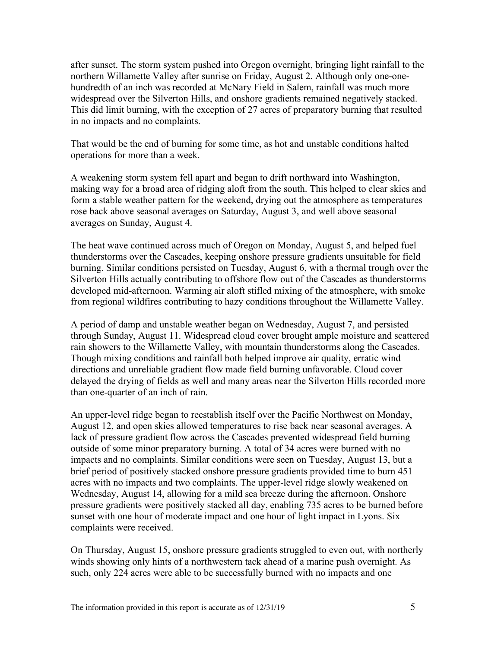after sunset. The storm system pushed into Oregon overnight, bringing light rainfall to the northern Willamette Valley after sunrise on Friday, August 2. Although only one-onehundredth of an inch was recorded at McNary Field in Salem, rainfall was much more widespread over the Silverton Hills, and onshore gradients remained negatively stacked. This did limit burning, with the exception of 27 acres of preparatory burning that resulted in no impacts and no complaints.

That would be the end of burning for some time, as hot and unstable conditions halted operations for more than a week.

A weakening storm system fell apart and began to drift northward into Washington, making way for a broad area of ridging aloft from the south. This helped to clear skies and form a stable weather pattern for the weekend, drying out the atmosphere as temperatures rose back above seasonal averages on Saturday, August 3, and well above seasonal averages on Sunday, August 4.

The heat wave continued across much of Oregon on Monday, August 5, and helped fuel thunderstorms over the Cascades, keeping onshore pressure gradients unsuitable for field burning. Similar conditions persisted on Tuesday, August 6, with a thermal trough over the Silverton Hills actually contributing to offshore flow out of the Cascades as thunderstorms developed mid-afternoon. Warming air aloft stifled mixing of the atmosphere, with smoke from regional wildfires contributing to hazy conditions throughout the Willamette Valley.

A period of damp and unstable weather began on Wednesday, August 7, and persisted through Sunday, August 11. Widespread cloud cover brought ample moisture and scattered rain showers to the Willamette Valley, with mountain thunderstorms along the Cascades. Though mixing conditions and rainfall both helped improve air quality, erratic wind directions and unreliable gradient flow made field burning unfavorable. Cloud cover delayed the drying of fields as well and many areas near the Silverton Hills recorded more than one-quarter of an inch of rain.

An upper-level ridge began to reestablish itself over the Pacific Northwest on Monday, August 12, and open skies allowed temperatures to rise back near seasonal averages. A lack of pressure gradient flow across the Cascades prevented widespread field burning outside of some minor preparatory burning. A total of 34 acres were burned with no impacts and no complaints. Similar conditions were seen on Tuesday, August 13, but a brief period of positively stacked onshore pressure gradients provided time to burn 451 acres with no impacts and two complaints. The upper-level ridge slowly weakened on Wednesday, August 14, allowing for a mild sea breeze during the afternoon. Onshore pressure gradients were positively stacked all day, enabling 735 acres to be burned before sunset with one hour of moderate impact and one hour of light impact in Lyons. Six complaints were received.

On Thursday, August 15, onshore pressure gradients struggled to even out, with northerly winds showing only hints of a northwestern tack ahead of a marine push overnight. As such, only 224 acres were able to be successfully burned with no impacts and one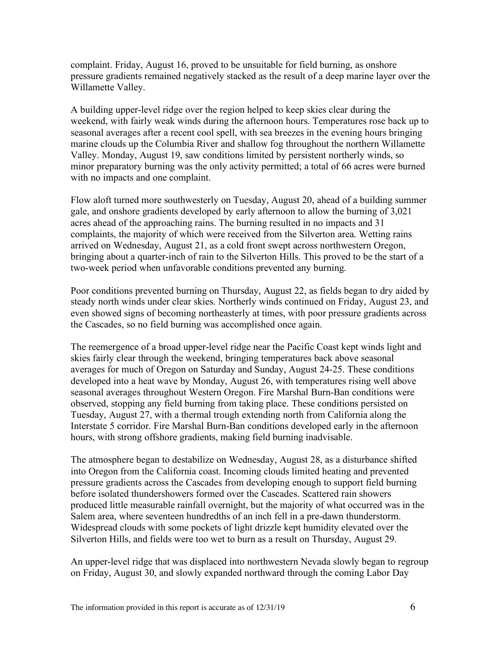complaint. Friday, August 16, proved to be unsuitable for field burning, as onshore pressure gradients remained negatively stacked as the result of a deep marine layer over the Willamette Valley.

A building upper-level ridge over the region helped to keep skies clear during the weekend, with fairly weak winds during the afternoon hours. Temperatures rose back up to seasonal averages after a recent cool spell, with sea breezes in the evening hours bringing marine clouds up the Columbia River and shallow fog throughout the northern Willamette Valley. Monday, August 19, saw conditions limited by persistent northerly winds, so minor preparatory burning was the only activity permitted; a total of 66 acres were burned with no impacts and one complaint.

Flow aloft turned more southwesterly on Tuesday, August 20, ahead of a building summer gale, and onshore gradients developed by early afternoon to allow the burning of 3,021 acres ahead of the approaching rains. The burning resulted in no impacts and 31 complaints, the majority of which were received from the Silverton area. Wetting rains arrived on Wednesday, August 21, as a cold front swept across northwestern Oregon, bringing about a quarter-inch of rain to the Silverton Hills. This proved to be the start of a two-week period when unfavorable conditions prevented any burning.

Poor conditions prevented burning on Thursday, August 22, as fields began to dry aided by steady north winds under clear skies. Northerly winds continued on Friday, August 23, and even showed signs of becoming northeasterly at times, with poor pressure gradients across the Cascades, so no field burning was accomplished once again.

The reemergence of a broad upper-level ridge near the Pacific Coast kept winds light and skies fairly clear through the weekend, bringing temperatures back above seasonal averages for much of Oregon on Saturday and Sunday, August 24-25. These conditions developed into a heat wave by Monday, August 26, with temperatures rising well above seasonal averages throughout Western Oregon. Fire Marshal Burn-Ban conditions were observed, stopping any field burning from taking place. These conditions persisted on Tuesday, August 27, with a thermal trough extending north from California along the Interstate 5 corridor. Fire Marshal Burn-Ban conditions developed early in the afternoon hours, with strong offshore gradients, making field burning inadvisable.

The atmosphere began to destabilize on Wednesday, August 28, as a disturbance shifted into Oregon from the California coast. Incoming clouds limited heating and prevented pressure gradients across the Cascades from developing enough to support field burning before isolated thundershowers formed over the Cascades. Scattered rain showers produced little measurable rainfall overnight, but the majority of what occurred was in the Salem area, where seventeen hundredths of an inch fell in a pre-dawn thunderstorm. Widespread clouds with some pockets of light drizzle kept humidity elevated over the Silverton Hills, and fields were too wet to burn as a result on Thursday, August 29.

An upper-level ridge that was displaced into northwestern Nevada slowly began to regroup on Friday, August 30, and slowly expanded northward through the coming Labor Day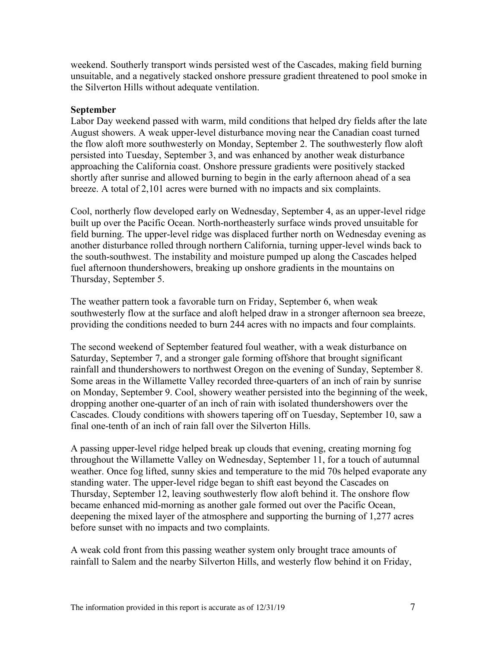weekend. Southerly transport winds persisted west of the Cascades, making field burning unsuitable, and a negatively stacked onshore pressure gradient threatened to pool smoke in the Silverton Hills without adequate ventilation.

#### **September**

Labor Day weekend passed with warm, mild conditions that helped dry fields after the late August showers. A weak upper-level disturbance moving near the Canadian coast turned the flow aloft more southwesterly on Monday, September 2. The southwesterly flow aloft persisted into Tuesday, September 3, and was enhanced by another weak disturbance approaching the California coast. Onshore pressure gradients were positively stacked shortly after sunrise and allowed burning to begin in the early afternoon ahead of a sea breeze. A total of 2,101 acres were burned with no impacts and six complaints.

Cool, northerly flow developed early on Wednesday, September 4, as an upper-level ridge built up over the Pacific Ocean. North-northeasterly surface winds proved unsuitable for field burning. The upper-level ridge was displaced further north on Wednesday evening as another disturbance rolled through northern California, turning upper-level winds back to the south-southwest. The instability and moisture pumped up along the Cascades helped fuel afternoon thundershowers, breaking up onshore gradients in the mountains on Thursday, September 5.

The weather pattern took a favorable turn on Friday, September 6, when weak southwesterly flow at the surface and aloft helped draw in a stronger afternoon sea breeze, providing the conditions needed to burn 244 acres with no impacts and four complaints.

The second weekend of September featured foul weather, with a weak disturbance on Saturday, September 7, and a stronger gale forming offshore that brought significant rainfall and thundershowers to northwest Oregon on the evening of Sunday, September 8. Some areas in the Willamette Valley recorded three-quarters of an inch of rain by sunrise on Monday, September 9. Cool, showery weather persisted into the beginning of the week, dropping another one-quarter of an inch of rain with isolated thundershowers over the Cascades. Cloudy conditions with showers tapering off on Tuesday, September 10, saw a final one-tenth of an inch of rain fall over the Silverton Hills.

A passing upper-level ridge helped break up clouds that evening, creating morning fog throughout the Willamette Valley on Wednesday, September 11, for a touch of autumnal weather. Once fog lifted, sunny skies and temperature to the mid 70s helped evaporate any standing water. The upper-level ridge began to shift east beyond the Cascades on Thursday, September 12, leaving southwesterly flow aloft behind it. The onshore flow became enhanced mid-morning as another gale formed out over the Pacific Ocean, deepening the mixed layer of the atmosphere and supporting the burning of 1,277 acres before sunset with no impacts and two complaints.

A weak cold front from this passing weather system only brought trace amounts of rainfall to Salem and the nearby Silverton Hills, and westerly flow behind it on Friday,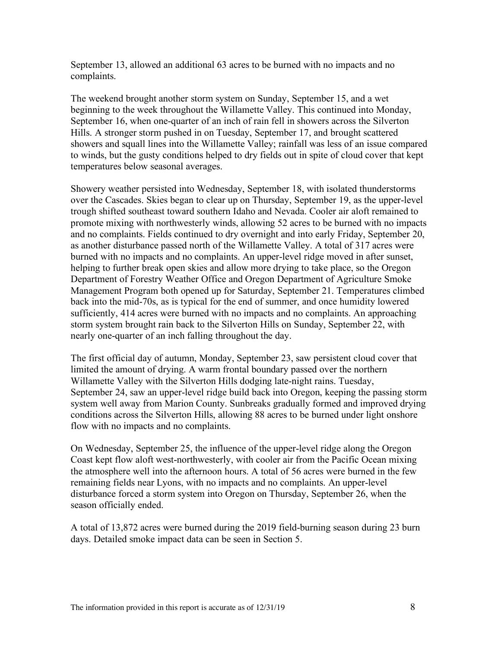September 13, allowed an additional 63 acres to be burned with no impacts and no complaints.

The weekend brought another storm system on Sunday, September 15, and a wet beginning to the week throughout the Willamette Valley. This continued into Monday, September 16, when one-quarter of an inch of rain fell in showers across the Silverton Hills. A stronger storm pushed in on Tuesday, September 17, and brought scattered showers and squall lines into the Willamette Valley; rainfall was less of an issue compared to winds, but the gusty conditions helped to dry fields out in spite of cloud cover that kept temperatures below seasonal averages.

Showery weather persisted into Wednesday, September 18, with isolated thunderstorms over the Cascades. Skies began to clear up on Thursday, September 19, as the upper-level trough shifted southeast toward southern Idaho and Nevada. Cooler air aloft remained to promote mixing with northwesterly winds, allowing 52 acres to be burned with no impacts and no complaints. Fields continued to dry overnight and into early Friday, September 20, as another disturbance passed north of the Willamette Valley. A total of 317 acres were burned with no impacts and no complaints. An upper-level ridge moved in after sunset, helping to further break open skies and allow more drying to take place, so the Oregon Department of Forestry Weather Office and Oregon Department of Agriculture Smoke Management Program both opened up for Saturday, September 21. Temperatures climbed back into the mid-70s, as is typical for the end of summer, and once humidity lowered sufficiently, 414 acres were burned with no impacts and no complaints. An approaching storm system brought rain back to the Silverton Hills on Sunday, September 22, with nearly one-quarter of an inch falling throughout the day.

The first official day of autumn, Monday, September 23, saw persistent cloud cover that limited the amount of drying. A warm frontal boundary passed over the northern Willamette Valley with the Silverton Hills dodging late-night rains. Tuesday, September 24, saw an upper-level ridge build back into Oregon, keeping the passing storm system well away from Marion County. Sunbreaks gradually formed and improved drying conditions across the Silverton Hills, allowing 88 acres to be burned under light onshore flow with no impacts and no complaints.

On Wednesday, September 25, the influence of the upper-level ridge along the Oregon Coast kept flow aloft west-northwesterly, with cooler air from the Pacific Ocean mixing the atmosphere well into the afternoon hours. A total of 56 acres were burned in the few remaining fields near Lyons, with no impacts and no complaints. An upper-level disturbance forced a storm system into Oregon on Thursday, September 26, when the season officially ended.

A total of 13,872 acres were burned during the 2019 field-burning season during 23 burn days. Detailed smoke impact data can be seen in Section 5.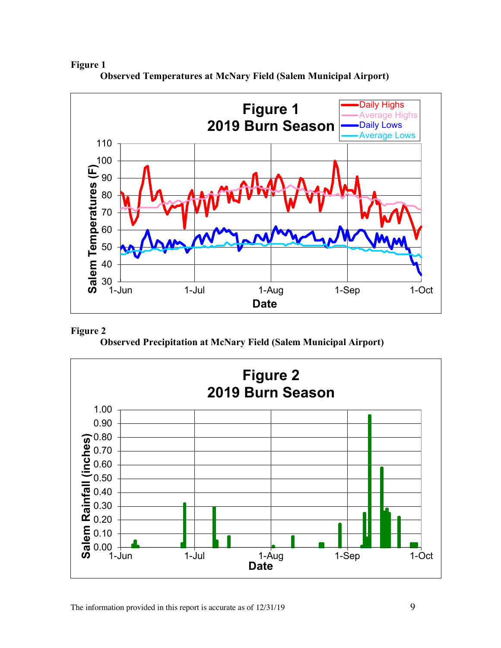**Figure 1**



**Observed Temperatures at McNary Field (Salem Municipal Airport)**



**Observed Precipitation at McNary Field (Salem Municipal Airport)**

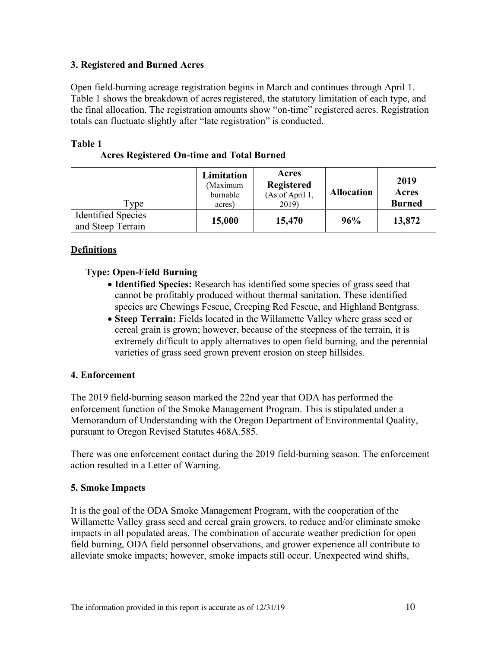## **3. Registered and Burned Acres**

Open field-burning acreage registration begins in March and continues through April 1. Table 1 shows the breakdown of acres registered, the statutory limitation of each type, and the final allocation. The registration amounts show "on-time" registered acres. Registration totals can fluctuate slightly after "late registration" is conducted.

#### **Table 1**

| <b>Acres Registered On-time and Total Burned</b> |  |
|--------------------------------------------------|--|
|                                                  |  |

| Type                                           | Limitation<br>(Maximum<br>burnable<br>acres) | Acres<br><b>Registered</b><br>(As of April 1,<br>2019) | <b>Allocation</b> | 2019<br>Acres<br><b>Burned</b> |
|------------------------------------------------|----------------------------------------------|--------------------------------------------------------|-------------------|--------------------------------|
| <b>Identified Species</b><br>and Steep Terrain | 15,000                                       | 15,470                                                 | 96%               | 13,872                         |

## **Definitions**

## **Type: Open-Field Burning**

- **Identified Species:** Research has identified some species of grass seed that cannot be profitably produced without thermal sanitation. These identified species are Chewings Fescue, Creeping Red Fescue, and Highland Bentgrass.
- **Steep Terrain:** Fields located in the Willamette Valley where grass seed or cereal grain is grown; however, because of the steepness of the terrain, it is extremely difficult to apply alternatives to open field burning, and the perennial varieties of grass seed grown prevent erosion on steep hillsides.

## **4. Enforcement**

The 2019 field-burning season marked the 22nd year that ODA has performed the enforcement function of the Smoke Management Program. This is stipulated under a Memorandum of Understanding with the Oregon Department of Environmental Quality, pursuant to Oregon Revised Statutes 468A.585.

There was one enforcement contact during the 2019 field-burning season. The enforcement action resulted in a Letter of Warning.

## **5. Smoke Impacts**

It is the goal of the ODA Smoke Management Program, with the cooperation of the Willamette Valley grass seed and cereal grain growers, to reduce and/or eliminate smoke impacts in all populated areas. The combination of accurate weather prediction for open field burning, ODA field personnel observations, and grower experience all contribute to alleviate smoke impacts; however, smoke impacts still occur. Unexpected wind shifts,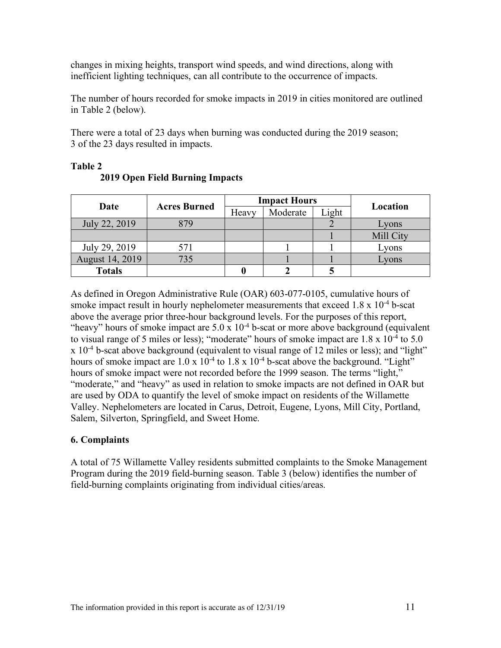changes in mixing heights, transport wind speeds, and wind directions, along with inefficient lighting techniques, can all contribute to the occurrence of impacts.

The number of hours recorded for smoke impacts in 2019 in cities monitored are outlined in Table 2 (below).

There were a total of 23 days when burning was conducted during the 2019 season; 3 of the 23 days resulted in impacts.

| Date            | <b>Acres Burned</b> | <b>Impact Hours</b> |          |       |           |  |
|-----------------|---------------------|---------------------|----------|-------|-----------|--|
|                 |                     | Heavy               | Moderate | Light | Location  |  |
| July 22, 2019   | 879                 |                     |          |       | Lyons     |  |
|                 |                     |                     |          |       | Mill City |  |
| July 29, 2019   | 571                 |                     |          |       | Lyons     |  |
| August 14, 2019 | 735                 |                     |          |       | Lyons     |  |
| <b>Totals</b>   |                     |                     |          |       |           |  |

## **Table 2**

## **2019 Open Field Burning Impacts**

As defined in Oregon Administrative Rule (OAR) 603-077-0105, cumulative hours of smoke impact result in hourly nephelometer measurements that exceed  $1.8 \times 10^{-4}$  b-scat above the average prior three-hour background levels. For the purposes of this report, "heavy" hours of smoke impact are  $5.0 \times 10^{-4}$  b-scat or more above background (equivalent to visual range of 5 miles or less); "moderate" hours of smoke impact are  $1.8 \times 10^{-4}$  to  $5.0$ x 10-4 b-scat above background (equivalent to visual range of 12 miles or less); and "light" hours of smoke impact are  $1.0 \times 10^{-4}$  to  $1.8 \times 10^{-4}$  b-scat above the background. "Light" hours of smoke impact were not recorded before the 1999 season. The terms "light," "moderate," and "heavy" as used in relation to smoke impacts are not defined in OAR but are used by ODA to quantify the level of smoke impact on residents of the Willamette Valley. Nephelometers are located in Carus, Detroit, Eugene, Lyons, Mill City, Portland, Salem, Silverton, Springfield, and Sweet Home.

## **6. Complaints**

A total of 75 Willamette Valley residents submitted complaints to the Smoke Management Program during the 2019 field-burning season. Table 3 (below) identifies the number of field-burning complaints originating from individual cities/areas.